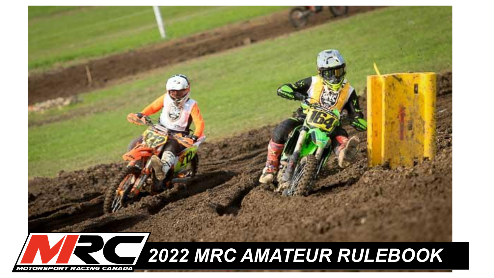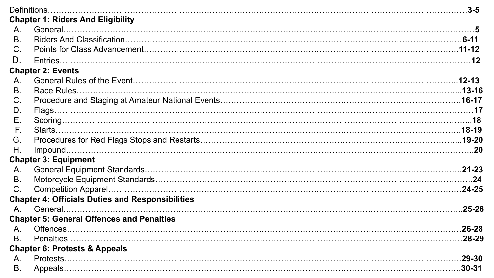|           | <b>Chapter 1: Riders And Eligibility</b>                |  |
|-----------|---------------------------------------------------------|--|
| $A_{1}$   |                                                         |  |
| <b>B.</b> |                                                         |  |
| C.        |                                                         |  |
| D.        |                                                         |  |
|           | <b>Chapter 2: Events</b>                                |  |
| A.        |                                                         |  |
| <b>B.</b> |                                                         |  |
| C.        |                                                         |  |
| D.        |                                                         |  |
| Ε.        |                                                         |  |
| E.        |                                                         |  |
| G.        |                                                         |  |
| Η.        |                                                         |  |
|           | <b>Chapter 3: Equipment</b>                             |  |
| A.        |                                                         |  |
| Β.        |                                                         |  |
| C.        |                                                         |  |
|           | <b>Chapter 4: Officials Duties and Responsibilities</b> |  |
| $A_{1}$   |                                                         |  |
|           | <b>Chapter 5: General Offences and Penalties</b>        |  |
| A.        |                                                         |  |
| <b>B.</b> |                                                         |  |
|           | <b>Chapter 6: Protests &amp; Appeals</b>                |  |
| A.        |                                                         |  |
| <b>B.</b> |                                                         |  |
|           |                                                         |  |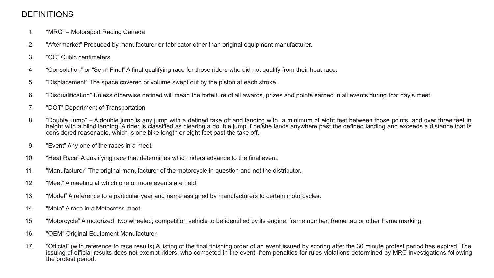# **DEFINITIONS**

- 1. "MRC" Motorsport Racing Canada
- 2. "Aftermarket" Produced by manufacturer or fabricator other than original equipment manufacturer.
- 3. "CC" Cubic centimeters.
- 4. "Consolation" or "Semi Final" A final qualifying race for those riders who did not qualify from their heat race.
- 5. "Displacement" The space covered or volume swept out by the piston at each stroke.
- 6. "Disqualification" Unless otherwise defined will mean the forfeiture of all awards, prizes and points earned in all events during that day's meet.
- 7. "DOT" Department of Transportation
- 8. "Double Jump" A double jump is any jump with a defined take off and landing with a minimum of eight feet between those points, and over three feet in height with a blind landing. A rider is classified as clearing a double jump if he/she lands anywhere past the defined landing and exceeds a distance that is considered reasonable, which is one bike length or eight feet past the take off.
- 9. "Event" Any one of the races in a meet.
- 10. "Heat Race" A qualifying race that determines which riders advance to the final event.
- 11. "Manufacturer" The original manufacturer of the motorcycle in question and not the distributor.
- 12. "Meet" A meeting at which one or more events are held.
- 13. "Model" A reference to a particular year and name assigned by manufacturers to certain motorcycles.
- 14. "Moto" A race in a Motocross meet.
- 15. "Motorcycle" A motorized, two wheeled, competition vehicle to be identified by its engine, frame number, frame tag or other frame marking.
- 16. "OEM" Original Equipment Manufacturer.
- 17. "Official" (with reference to race results) A listing of the final finishing order of an event issued by scoring after the 30 minute protest period has expired. The issuing of official results does not exempt riders, who competed in the event, from penalties for rules violations determined by MRC investigations following the protest period.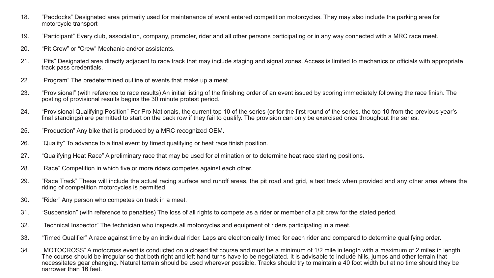- 18. "Paddocks" Designated area primarily used for maintenance of event entered competition motorcycles. They may also include the parking area for motorcycle transport
- 19. "Participant" Every club, association, company, promoter, rider and all other persons participating or in any way connected with a MRC race meet.
- 20. "Pit Crew" or "Crew" Mechanic and/or assistants.
- 21. "Pits" Designated area directly adjacent to race track that may include staging and signal zones. Access is limited to mechanics or officials with appropriate track pass credentials.
- 22. "Program" The predetermined outline of events that make up a meet.
- 23. "Provisional" (with reference to race results) An initial listing of the finishing order of an event issued by scoring immediately following the race finish. The posting of provisional results begins the 30 minute protest period.
- 24. "Provisional Qualifying Position" For Pro Nationals, the current top 10 of the series (or for the first round of the series, the top 10 from the previous year's final standings) are permitted to start on the back row if they fail to qualify. The provision can only be exercised once throughout the series.
- 25. "Production" Any bike that is produced by a MRC recognized OEM.
- 26. "Qualify" To advance to a final event by timed qualifying or heat race finish position.
- 27. "Qualifying Heat Race" A preliminary race that may be used for elimination or to determine heat race starting positions.
- 28. "Race" Competition in which five or more riders competes against each other.
- 29. "Race Track" These will include the actual racing surface and runoff areas, the pit road and grid, a test track when provided and any other area where the riding of competition motorcycles is permitted.
- 30. "Rider" Any person who competes on track in a meet.
- 31. "Suspension" (with reference to penalties) The loss of all rights to compete as a rider or member of a pit crew for the stated period.
- 32. "Technical Inspector" The technician who inspects all motorcycles and equipment of riders participating in a meet.
- 33. "Timed Qualifier" A race against time by an individual rider. Laps are electronically timed for each rider and compared to determine qualifying order.
- 34. "MOTOCROSS" A motocross event is conducted on a closed flat course and must be a minimum of 1/2 mile in length with a maximum of 2 miles in length. The course should be irregular so that both right and left hand turns have to be negotiated. It is advisable to include hills, jumps and other terrain that necessitates gear changing. Natural terrain should be used wherever possible. Tracks should try to maintain a 40 foot width but at no time should they be narrower than 16 feet.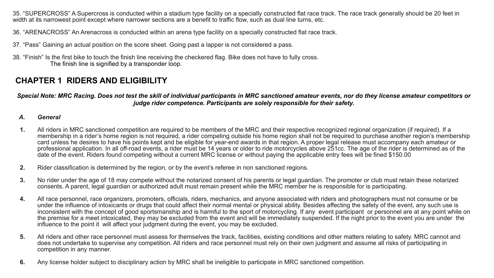35. "SUPERCROSS" A Supercross is conducted within a stadium type facility on a specially constructed flat race track. The race track generally should be 20 feet in width at its narrowest point except where narrower sections are a benefit to traffic flow, such as dual line turns, etc.

36. "ARENACROSS" An Arenacross is conducted within an arena type facility on a specially constructed flat race track.

- 37. "Pass" Gaining an actual position on the score sheet. Going past a lapper is not considered a pass.
- 38. "Finish" Is the first bike to touch the finish line receiving the checkered flag. Bike does not have to fully cross. The finish line is signified by a transponder loop.

# **CHAPTER 1 RIDERS AND ELIGIBILITY**

*Special Note: MRC Racing. Does not test the skill of individual participants in MRC sanctioned amateur events, nor do they license amateur competitors or judge rider competence. Participants are solely responsible for their safety.*

#### *A. General*

- **1.** All riders in MRC sanctioned competition are required to be members of the MRC and their respective recognized regional organization (if required). If a membership in a rider's home region is not required, a rider competing outside his home region shall not be required to purchase another region's membership card unless he desires to have his points kept and be eligible for year-end awards in that region. A proper legal release must accompany each amateur or professional application. In all off-road events, a rider must be 14 years or older to ride motorcycles above 251cc. The age of the rider is determined as of the date of the event. Riders found competing without a current MRC license or without paying the applicable entry fees will be fined \$150.00
- **2.** Rider classification is determined by the region, or by the event's referee in non sanctioned regions.
- **3.** No rider under the age of 18 may compete without the notarized consent of his parents or legal guardian. The promoter or club must retain these notarized consents. A parent, legal guardian or authorized adult must remain present while the MRC member he is responsible for is participating.
- **4.** All race personnel, race organizers, promoters, officials, riders, mechanics, and anyone associated with riders and photographers must not consume or be under the influence of intoxicants or drugs that could affect their normal mental or physical ability. Besides affecting the safety of the event, any such use is inconsistent with the concept of good sportsmanship and is harmful to the sport of motorcycling. If any event participant or personnel are at any point while on the premise for a meet intoxicated, they may be excluded from the event and will be immediately suspended. If the night prior to the event you are under the influence to the point it will affect your judgment during the event, you may be excluded.
- **5.** All riders and other race personnel must assess for themselves the track, facilities, existing conditions and other matters relating to safety. MRC cannot and does not undertake to supervise any competition. All riders and race personnel must rely on their own judgment and assume all risks of participating in competition in any manner.
- **6.** Any license holder subject to disciplinary action by MRC shall be ineligible to participate in MRC sanctioned competition.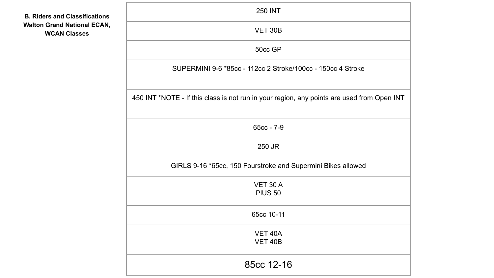| <b>B. Riders and Classifications</b> |
|--------------------------------------|
| <b>Walton Grand National ECAN,</b>   |
| <b>WCAN Classes</b>                  |

| <b>250 INT</b>                                                                             |  |  |  |  |
|--------------------------------------------------------------------------------------------|--|--|--|--|
| <b>VET 30B</b>                                                                             |  |  |  |  |
| 50cc GP                                                                                    |  |  |  |  |
| SUPERMINI 9-6 *85cc - 112cc 2 Stroke/100cc - 150cc 4 Stroke                                |  |  |  |  |
| 450 INT *NOTE - If this class is not run in your region, any points are used from Open INT |  |  |  |  |
| $65cc - 7-9$                                                                               |  |  |  |  |
| 250 JR                                                                                     |  |  |  |  |
| GIRLS 9-16 *65cc, 150 Fourstroke and Supermini Bikes allowed                               |  |  |  |  |
| VET 30 A<br><b>PIUS 50</b>                                                                 |  |  |  |  |
| 65cc 10-11                                                                                 |  |  |  |  |
| VET 40A<br><b>VET 40B</b>                                                                  |  |  |  |  |
| 85cc 12-16                                                                                 |  |  |  |  |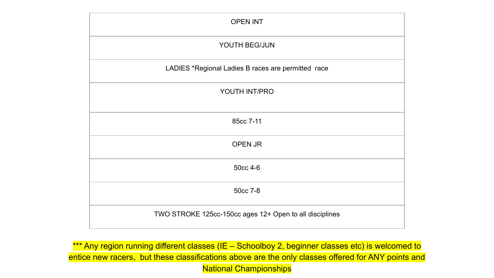| <b>OPEN INT</b>                                         |
|---------------------------------------------------------|
| YOUTH BEG/JUN                                           |
| LADIES *Regional Ladies B races are permitted race      |
| YOUTH INT/PRO                                           |
| 85cc 7-11                                               |
| OPEN JR                                                 |
| 50cc 4-6                                                |
| 50cc 7-8                                                |
| TWO STROKE 125cc-150cc ages 12+ Open to all disciplines |

\*\*\* Any region running different classes (IE - Schoolboy 2, beginner classes etc) is welcomed to entice new racers, but these classifications above are the only classes offered for ANY points and National Championships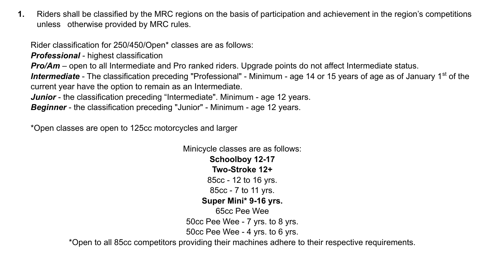**1.** Riders shall be classified by the MRC regions on the basis of participation and achievement in the region's competitions unless otherwise provided by MRC rules.

Rider classification for 250/450/Open\* classes are as follows:

*Professional* - highest classification

*Pro/Am* – open to all Intermediate and Pro ranked riders. Upgrade points do not affect Intermediate status.

Intermediate - The classification preceding "Professional" - Minimum - age 14 or 15 years of age as of January 1<sup>st</sup> of the current year have the option to remain as an Intermediate.

*Junior* - the classification preceding "Intermediate". Minimum - age 12 years.

*Beginner* - the classification preceding "Junior" - Minimum - age 12 years.

\*Open classes are open to 125cc motorcycles and larger

Minicycle classes are as follows: **Schoolboy 12-17 Two-Stroke 12+** 85cc - 12 to 16 yrs. 85cc - 7 to 11 yrs. **Super Mini\* 9-16 yrs.** 65cc Pee Wee 50cc Pee Wee - 7 yrs. to 8 yrs. 50cc Pee Wee - 4 yrs. to 6 yrs.

\*Open to all 85cc competitors providing their machines adhere to their respective requirements.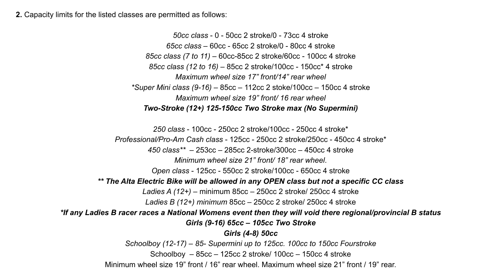**2.** Capacity limits for the listed classes are permitted as follows:

*50cc class* - 0 - 50cc 2 stroke/0 - 73cc 4 stroke *65cc class* – 60cc - 65cc 2 stroke/0 - 80cc 4 stroke *85cc class (7 to 11)* – 60cc-85cc 2 stroke/60cc - 100cc 4 stroke *85cc class (12 to 16)* – 85cc 2 stroke/100cc - 150cc\* 4 stroke *Maximum wheel size 17" front/14" rear wheel \*Super Mini class (9-16)* – 85cc – 112cc 2 stoke/100cc – 150cc 4 stroke *Maximum wheel size 19" front/ 16 rear wheel Two-Stroke (12+) 125-150cc Two Stroke max (No Supermini)*

*250 class* - 100cc - 250cc 2 stroke/100cc - 250cc 4 stroke\* *Professional/Pro-Am Cash class* - 125cc - 250cc 2 stroke/250cc - 450cc 4 stroke\* *450 class\*\** – 253cc – 285cc 2-stroke/300cc – 450cc 4 stroke *Minimum wheel size 21" front/ 18" rear wheel*. *Open class* - 125cc - 550cc 2 stroke/100cc - 650cc 4 stroke *\*\* The Alta Electric Bike will be allowed in any OPEN class but not a specific CC class Ladies A (12+) –* minimum 85cc – 250cc 2 stroke/ 250cc 4 stroke *Ladies B (12+) minimum* 85cc – 250cc 2 stroke/ 250cc 4 stroke *\*If any Ladies B racer races a National Womens event then they will void there regional/provincial B status Girls (9-16) 65cc – 105cc Two Stroke Girls (4-8) 50cc Schoolboy (12-17) – 85- Supermini up to 125cc. 100cc to 150cc Fourstroke*  Schoolboy – 85cc – 125cc 2 stroke/ 100cc – 150cc 4 stroke Minimum wheel size 19" front / 16" rear wheel. Maximum wheel size 21" front / 19" rear.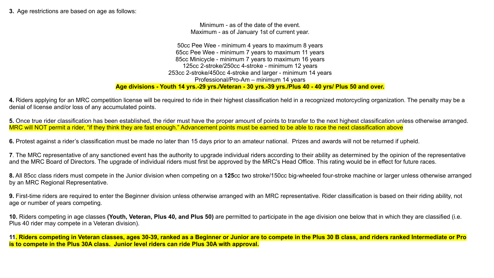**3.** Age restrictions are based on age as follows:

Minimum - as of the date of the event. Maximum - as of January 1st of current year.

50cc Pee Wee - minimum 4 years to maximum 8 years 65cc Pee Wee - minimum 7 years to maximum 11 years 85cc Minicycle - minimum 7 years to maximum 16 years 125cc 2-stroke/250cc 4-stroke - minimum 12 years 253cc 2-stroke/450cc 4-stroke and larger - minimum 14 years Professional/Pro-Am – minimum 14 years **Age divisions - Youth 14 yrs.-29 yrs./Veteran - 30 yrs.-39 yrs./Plus 40 - 40 yrs/ Plus 50 and over.**

**4.** Riders applying for an MRC competition license will be required to ride in their highest classification held in a recognized motorcycling organization. The penalty may be a denial of license and/or loss of any accumulated points.

**5.** Once true rider classification has been established, the rider must have the proper amount of points to transfer to the next highest classification unless otherwise arranged. MRC will NOT permit a rider, "if they think they are fast enough." Advancement points must be earned to be able to race the next classification above

**6.** Protest against a rider's classification must be made no later than 15 days prior to an amateur national. Prizes and awards will not be returned if upheld.

**7**. The MRC representative of any sanctioned event has the authority to upgrade individual riders according to their ability as determined by the opinion of the representative and the MRC Board of Directors. The upgrade of individual riders must first be approved by the MRC's Head Office. This rating would be in effect for future races.

**8.** All 85cc class riders must compete in the Junior division when competing on a **125**cc two stroke/150cc big-wheeled four-stroke machine or larger unless otherwise arranged by an MRC Regional Representative.

**9.** First-time riders are required to enter the Beginner division unless otherwise arranged with an MRC representative. Rider classification is based on their riding ability, not age or number of years competing.

**10.** Riders competing in age classes **(Youth, Veteran, Plus 40, and Plus 50)** are permitted to participate in the age division one below that in which they are classified (i.e. Plus 40 rider may compete in a Veteran division).

**11. Riders competing in Veteran classes, ages 30-39, ranked as a Beginner or Junior are to compete in the Plus 30 B class, and riders ranked Intermediate or Pro is to compete in the Plus 30A class. Junior level riders can ride Plus 30A with approval.**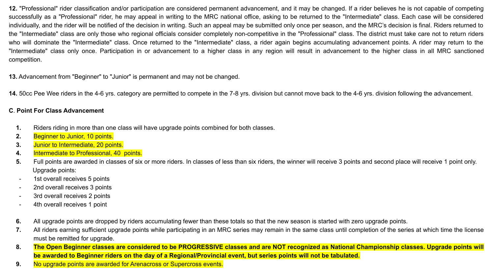**12.** "Professional" rider classification and/or participation are considered permanent advancement, and it may be changed. If a rider believes he is not capable of competing successfully as a "Professional" rider, he may appeal in writing to the MRC national office, asking to be returned to the "Intermediate" class. Each case will be considered individually, and the rider will be notified of the decision in writing. Such an appeal may be submitted only once per season, and the MRC's decision is final. Riders returned to the "Intermediate" class are only those who regional officials consider completely non-competitive in the "Professional" class. The district must take care not to return riders who will dominate the "Intermediate" class. Once returned to the "Intermediate" class, a rider again begins accumulating advancement points. A rider may return to the "Intermediate" class only once. Participation in or advancement to a higher class in any region will result in advancement to the higher class in all MRC sanctioned competition.

**13.** Advancement from "Beginner" to "Junior" is permanent and may not be changed.

**14.** 50cc Pee Wee riders in the 4-6 yrs. category are permitted to compete in the 7-8 yrs. division but cannot move back to the 4-6 yrs. division following the advancement.

### **C**. **Point For Class Advancement**

- **1.** Riders riding in more than one class will have upgrade points combined for both classes.
- **2.** Beginner to Junior, 10 points.
- **3.** Junior to Intermediate, 20 points.
- **4.** Intermediate to Professional, 40 points.
- 5. Full points are awarded in classes of six or more riders. In classes of less than six riders, the winner will receive 3 points and second place will receive 1 point only. Upgrade points:
- 1st overall receives 5 points
- 2nd overall receives 3 points
- 3rd overall receives 2 points
- 4th overall receives 1 point
- **6.** All upgrade points are dropped by riders accumulating fewer than these totals so that the new season is started with zero upgrade points.
- **7.** All riders earning sufficient upgrade points while participating in an MRC series may remain in the same class until completion of the series at which time the license must be remitted for upgrade.
- **8. The Open Beginner classes are considered to be PROGRESSIVE classes and are NOT recognized as National Championship classes. Upgrade points will be awarded to Beginner riders on the day of a Regional/Provincial event, but series points will not be tabulated.**
- **9.** No upgrade points are awarded for Arenacross or Supercross events.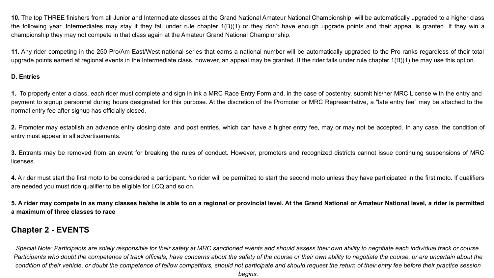**10.** The top THREE finishers from all Junior and Intermediate classes at the Grand National Amateur National Championship will be automatically upgraded to a higher class the following year. Intermediates may stay if they fall under rule chapter 1(B)(1) or they don't have enough upgrade points and their appeal is granted. If they win a championship they may not compete in that class again at the Amateur Grand National Championship.

**11.** Any rider competing in the 250 Pro/Am East/West national series that earns a national number will be automatically upgraded to the Pro ranks regardless of their total upgrade points earned at regional events in the Intermediate class, however, an appeal may be granted. If the rider falls under rule chapter 1(B)(1) he may use this option.

### **D. Entries**

1. To properly enter a class, each rider must complete and sign in ink a MRC Race Entry Form and, in the case of postentry, submit his/her MRC License with the entry and payment to signup personnel during hours designated for this purpose. At the discretion of the Promoter or MRC Representative, a "late entry fee" may be attached to the normal entry fee after signup has officially closed.

**2.** Promoter may establish an advance entry closing date, and post entries, which can have a higher entry fee, may or may not be accepted. In any case, the condition of entry must appear in all advertisements.

**3.** Entrants may be removed from an event for breaking the rules of conduct. However, promoters and recognized districts cannot issue continuing suspensions of MRC licenses.

**4.** A rider must start the first moto to be considered a participant. No rider will be permitted to start the second moto unless they have participated in the first moto. If qualifiers are needed you must ride qualifier to be eligible for LCQ and so on.

**5. A rider may compete in as many classes he/she is able to on a regional or provincial level. At the Grand National or Amateur National level, a rider is permitted a maximum of three classes to race**

# **Chapter 2 - EVENTS**

*Special Note: Participants are solely responsible for their safety at MRC sanctioned events and should assess their own ability to negotiate each individual track or course.*  Participants who doubt the competence of track officials, have concerns about the safety of the course or their own ability to negotiate the course, or are uncertain about the *condition of their vehicle, or doubt the competence of fellow competitors, should not participate and should request the return of their entry fee before their practice session*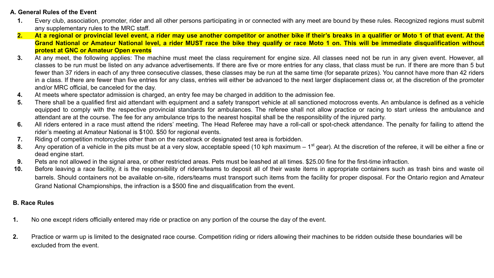## **A. General Rules of the Event**

- **1.** Every club, association, promoter, rider and all other persons participating in or connected with any meet are bound by these rules. Recognized regions must submit any supplementary rules to the MRC staff.
- **2. At a regional or provincial level event, a rider may use another competitor or another bike if their's breaks in a qualifier or Moto 1 of that event. At the Grand National or Amateur National level, a rider MUST race the bike they qualify or race Moto 1 on. This will be immediate disqualification without protest at GNC or Amateur Open events**
- **3.** At any meet, the following applies: The machine must meet the class requirement for engine size. All classes need not be run in any given event. However, all classes to be run must be listed on any advance advertisements. If there are five or more entries for any class, that class must be run. If there are more than 5 but fewer than 37 riders in each of any three consecutive classes, these classes may be run at the same time (for separate prizes). You cannot have more than 42 riders in a class. If there are fewer than five entries for any class, entries will either be advanced to the next larger displacement class or, at the discretion of the promoter and/or MRC official, be canceled for the day.
- **4.** At meets where spectator admission is charged, an entry fee may be charged in addition to the admission fee.
- **5.** There shall be a qualified first aid attendant with equipment and a safety transport vehicle at all sanctioned motocross events. An ambulance is defined as a vehicle equipped to comply with the respective provincial standards for ambulances. The referee shall not allow practice or racing to start unless the ambulance and attendant are at the course. The fee for any ambulance trips to the nearest hospital shall be the responsibility of the injured party.
- **6.** All riders entered in a race must attend the riders' meeting. The Head Referee may have a roll-call or spot-check attendance. The penalty for failing to attend the rider's meeting at Amateur National is \$100. \$50 for regional events.
- **7.** Riding of competition motorcycles other than on the racetrack or designated test area is forbidden.
- 8. Any operation of a vehicle in the pits must be at a very slow, acceptable speed (10 kph maximum 1<sup>st</sup> gear). At the discretion of the referee, it will be either a fine or dead engine start.
- **9.** Pets are not allowed in the signal area, or other restricted areas. Pets must be leashed at all times. \$25.00 fine for the first-time infraction.
- **10.** Before leaving a race facility, it is the responsibility of riders/teams to deposit all of their waste items in appropriate containers such as trash bins and waste oil barrels. Should containers not be available on-site, riders/teams must transport such items from the facility for proper disposal. For the Ontario region and Amateur Grand National Championships, the infraction is a \$500 fine and disqualification from the event.

## **B. Race Rules**

- **1.** No one except riders officially entered may ride or practice on any portion of the course the day of the event.
- **2.** Practice or warm up is limited to the designated race course. Competition riding or riders allowing their machines to be ridden outside these boundaries will be excluded from the event.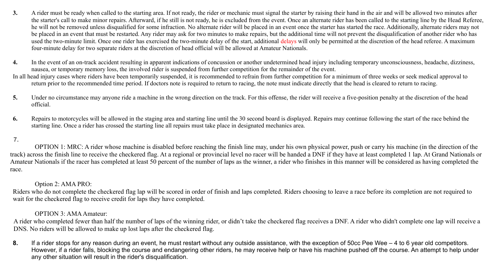- **3.** A rider must be ready when called to the starting area. If not ready, the rider or mechanic must signal the starter by raising their hand in the air and will be allowed two minutes after the starter's call to make minor repairs. Afterward, if he still is not ready, he is excluded from the event. Once an alternate rider has been called to the starting line by the Head Referee, he will not be removed unless disqualified for some infraction. No alternate rider will be placed in an event once the starter has started the race. Additionally, alternate riders may not be placed in an event that must be restarted. Any rider may ask for two minutes to make repairs, but the additional time will not prevent the disqualification of another rider who has used the two-minute limit. Once one rider has exercised the two-minute delay of the start, additional delays will only be permitted at the discretion of the head referee. A maximum four-minute delay for two separate riders at the discretion of head official will be allowed at Amateur Nationals.
- **4.** In the event of an on-track accident resulting in apparent indications of concussion or another undetermined head injury including temporary unconsciousness, headache, dizziness, nausea, or temporary memory loss, the involved rider is suspended from further competition for the remainder of the event.
- In all head injury cases where riders have been temporarily suspended, it is recommended to refrain from further competition for a minimum of three weeks or seek medical approval to return prior to the recommended time period. If doctors note is required to return to racing, the note must indicate directly that the head is cleared to return to racing.
- **5.** Under no circumstance may anyone ride a machine in the wrong direction on the track. For this offense, the rider will receive a five-position penalty at the discretion of the head official.
- **6.** Repairs to motorcycles will be allowed in the staging area and starting line until the 30 second board is displayed. Repairs may continue following the start of the race behind the starting line. Once a rider has crossed the starting line all repairs must take place in designated mechanics area.

#### **7.**

OPTION 1: MRC: A rider whose machine is disabled before reaching the finish line may, under his own physical power, push or carry his machine (in the direction of the track) across the finish line to receive the checkered flag. At a regional or provincial level no racer will be handed a DNF if they have at least completed 1 lap. At Grand Nationals or Amateur Nationals if the racer has completed at least 50 percent of the number of laps as the winner, a rider who finishes in this manner will be considered as having completed the race.

#### Option 2: AMA PRO:

Riders who do not complete the checkered flag lap will be scored in order of finish and laps completed. Riders choosing to leave a race before its completion are not required to wait for the checkered flag to receive credit for laps they have completed.

#### OPTION 3: AMA Amateur:

A rider who completed fewer than half the number of laps of the winning rider, or didn't take the checkered flag receives a DNF. A rider who didn't complete one lap will receive a DNS. No riders will be allowed to make up lost laps after the checkered flag.

**8.** If a rider stops for any reason during an event, he must restart without any outside assistance, with the exception of 50cc Pee Wee – 4 to 6 year old competitors. However, if a rider falls, blocking the course and endangering other riders, he may receive help or have his machine pushed off the course. An attempt to help under any other situation will result in the rider's disqualification.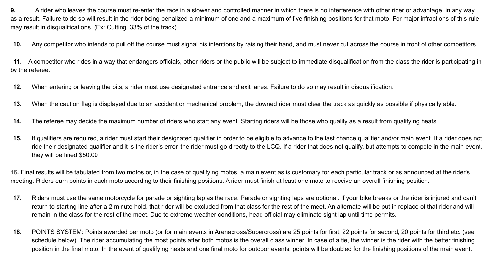**9.** A rider who leaves the course must re-enter the race in a slower and controlled manner in which there is no interference with other rider or advantage, in any way, as a result. Failure to do so will result in the rider being penalized a minimum of one and a maximum of five finishing positions for that moto. For major infractions of this rule may result in disqualifications. (Ex: Cutting .33% of the track)

**10.** Any competitor who intends to pull off the course must signal his intentions by raising their hand, and must never cut across the course in front of other competitors.

 **11.** A competitor who rides in a way that endangers officials, other riders or the public will be subject to immediate disqualification from the class the rider is participating in by the referee.

- **12.** When entering or leaving the pits, a rider must use designated entrance and exit lanes. Failure to do so may result in disqualification.
- **13.** When the caution flag is displayed due to an accident or mechanical problem, the downed rider must clear the track as quickly as possible if physically able.
- **14.** The referee may decide the maximum number of riders who start any event. Starting riders will be those who qualify as a result from qualifying heats.
- **15.** If qualifiers are required, a rider must start their designated qualifier in order to be eligible to advance to the last chance qualifier and/or main event. If a rider does not ride their designated qualifier and it is the rider's error, the rider must go directly to the LCQ. If a rider that does not qualify, but attempts to compete in the main event, they will be fined \$50.00

**16.** Final results will be tabulated from two motos or, in the case of qualifying motos, a main event as is customary for each particular track or as announced at the rider's meeting. Riders earn points in each moto according to their finishing positions. A rider must finish at least one moto to receive an overall finishing position.

- **17.** Riders must use the same motorcycle for parade or sighting lap as the race. Parade or sighting laps are optional. If your bike breaks or the rider is injured and can't return to starting line after a 2 minute hold, that rider will be excluded from that class for the rest of the meet. An alternate will be put in replace of that rider and will remain in the class for the rest of the meet. Due to extreme weather conditions, head official may eliminate sight lap until time permits.
- **18.** POINTS SYSTEM: Points awarded per moto (or for main events in Arenacross/Supercross) are 25 points for first, 22 points for second, 20 points for third etc. (see schedule below). The rider accumulating the most points after both motos is the overall class winner. In case of a tie, the winner is the rider with the better finishing position in the final moto. In the event of qualifying heats and one final moto for outdoor events, points will be doubled for the finishing positions of the main event.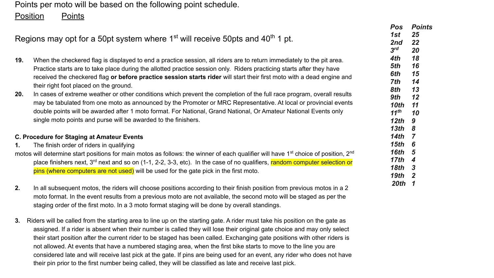Points per moto will be based on the following point schedule.

Position Points

|                                            | Regions may opt for a 50pt system where 1 <sup>st</sup> will receive 50pts and 40 <sup>th</sup> 1 pt.                                                                                                                                                                                                                                                                                                                                                                                                                                                                                                                                                            | <b>Pos</b><br>1st<br>2nd<br>3 <sup>rd</sup>           | <b>Points</b><br>25<br>22<br>20        |
|--------------------------------------------|------------------------------------------------------------------------------------------------------------------------------------------------------------------------------------------------------------------------------------------------------------------------------------------------------------------------------------------------------------------------------------------------------------------------------------------------------------------------------------------------------------------------------------------------------------------------------------------------------------------------------------------------------------------|-------------------------------------------------------|----------------------------------------|
| 19.<br>20.                                 | When the checkered flag is displayed to end a practice session, all riders are to return immediately to the pit area.<br>Practice starts are to take place during the allotted practice session only. Riders practicing starts after they have<br>received the checkered flag or before practice session starts rider will start their first moto with a dead engine and<br>their right foot placed on the ground.<br>In cases of extreme weather or other conditions which prevent the completion of the full race program, overall results<br>may be tabulated from one moto as announced by the Promoter or MRC Representative. At local or provincial events | 4th<br>5th<br>6th<br>7th<br>8th<br>9th<br><b>10th</b> | 18<br>16<br>15<br>14<br>13<br>12<br>11 |
|                                            | double points will be awarded after 1 moto format. For National, Grand National, Or Amateur National Events only<br>single moto points and purse will be awarded to the finishers.                                                                                                                                                                                                                                                                                                                                                                                                                                                                               | 11 <sup>th</sup><br>12 <sub>th</sub><br>13th          | 10<br>9<br>8                           |
| C. Procedure for Staging at Amateur Events |                                                                                                                                                                                                                                                                                                                                                                                                                                                                                                                                                                                                                                                                  | 14th                                                  |                                        |
| 1.                                         | The finish order of riders in qualifying                                                                                                                                                                                                                                                                                                                                                                                                                                                                                                                                                                                                                         | 15th                                                  | 6                                      |
|                                            | motos will determine start positions for main motos as follows: the winner of each qualifier will have 1 <sup>st</sup> choice of position, 2 <sup>nd</sup><br>place finishers next, $3^{rd}$ next and so on (1-1, 2-2, 3-3, etc). In the case of no qualifiers, random computer selection or<br>pins (where computers are not used) will be used for the gate pick in the first moto.                                                                                                                                                                                                                                                                            | 16th<br>17th<br>18th<br>19th                          | 5<br>3<br>-2                           |
| 2.                                         | In all subsequent motos, the riders will choose positions according to their finish position from previous motos in a 2<br>moto format. In the event results from a previous moto are not available, the second moto will be staged as per the<br>staging order of the first moto. In a 3 moto format staging will be done by overall standings.                                                                                                                                                                                                                                                                                                                 | 20th 1                                                |                                        |

**3.** Riders will be called from the starting area to line up on the starting gate. A rider must take his position on the gate as assigned. If a rider is absent when their number is called they will lose their original gate choice and may only select their start position after the current rider to be staged has been called. Exchanging gate positions with other riders is not allowed. At events that have a numbered staging area, when the first bike starts to move to the line you are considered late and will receive last pick at the gate. If pins are being used for an event, any rider who does not have their pin prior to the first number being called, they will be classified as late and receive last pick.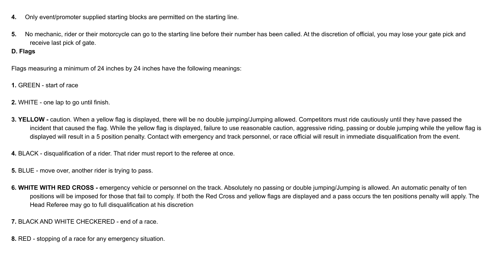- **4.** Only event/promoter supplied starting blocks are permitted on the starting line.
- **5.** No mechanic, rider or their motorcycle can go to the starting line before their number has been called. At the discretion of official, you may lose your gate pick and receive last pick of gate.

## **D. Flags**

Flags measuring a minimum of 24 inches by 24 inches have the following meanings:

- **1.** GREEN start of race
- **2.** WHITE one lap to go until finish.
- **3. YELLOW** caution. When a yellow flag is displayed, there will be no double jumping/Jumping allowed. Competitors must ride cautiously until they have passed the incident that caused the flag. While the yellow flag is displayed, failure to use reasonable caution, aggressive riding, passing or double jumping while the yellow flag is displayed will result in a 5 position penalty. Contact with emergency and track personnel, or race official will result in immediate disqualification from the event.
- **4.** BLACK disqualification of a rider. That rider must report to the referee at once.
- **5.** BLUE move over, another rider is trying to pass.
- **6. WHITE WITH RED CROSS** emergency vehicle or personnel on the track. Absolutely no passing or double jumping/Jumping is allowed. An automatic penalty of ten positions will be imposed for those that fail to comply. If both the Red Cross and yellow flags are displayed and a pass occurs the ten positions penalty will apply. The Head Referee may go to full disqualification at his discretion

**7.** BLACK AND WHITE CHECKERED - end of a race.

**8.** RED - stopping of a race for any emergency situation.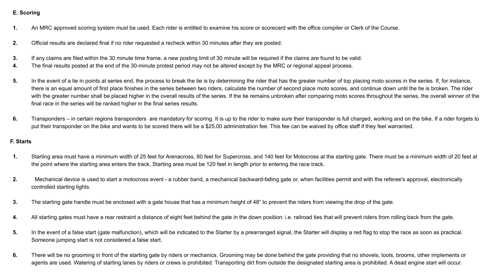#### **E. Scoring**

- **1.** An MRC approved scoring system must be used. Each rider is entitled to examine his score or scorecard with the office compiler or Clerk of the Course.
- **2.** Official results are declared final if no rider requested a recheck within 30 minutes after they are posted.
- **3.** If any claims are filed within the 30 minute time frame, a new posting limit of 30 minute will be required if the claims are found to be valid.
- **4.** The final results posted at the end of the 30-minute protest period may not be altered except by the MRC or regional appeal process.
- 5. In the event of a tie in points at series end, the process to break the tie is by determining the rider that has the greater number of top placing moto scores in the series. If, for instance, there is an equal amount of first place finishes in the series between two riders, calculate the number of second place moto scores, and continue down until the tie is broken. The rider with the greater number shall be placed higher in the overall results of the series. If the tie remains unbroken after comparing moto scores throughout the series, the overall winner of the final race in the series will be ranked higher in the final series results.
- **6.** Transponders in certain regions transponders are mandatory for scoring. It is up to the rider to make sure their transponder is full charged, working and on the bike. If a rider forgets to put their transponder on the bike and wants to be scored there will be a \$25.00 administration fee. This fee can be waived by office staff if they feel warranted.

#### **F. Starts**

- **1.** Starting area must have a minimum width of 25 feet for Arenacross, 80 feet for Supercross, and 140 feet for Motocross at the starting gate. There must be a minimum width of 20 feet at the point where the starting area enters the track. Starting area must be 120 feet in length prior to entering the race track.
- **2.** Mechanical device is used to start a motocross event a rubber band, a mechanical backward-falling gate or, when facilities permit and with the referee's approval, electronically controlled starting lights.
- **3.** The starting gate handle must be enclosed with a gate house that has a minimum height of 48" to prevent the riders from viewing the drop of the gate.
- 4. All starting gates must have a rear restraint a distance of eight feet behind the gate in the down position: i.e. railroad ties that will prevent riders from rolling back from the gate.
- 5. In the event of a false start (gate malfunction), which will be indicated to the Starter by a prearranged signal, the Starter will display a red flag to stop the race as soon as practical. Someone jumping start is not considered a false start.
- 6. There will be no grooming in front of the starting gate by riders or mechanics. Grooming may be done behind the gate providing that no shovels, tools, brooms, other implements or agents are used. Watering of starting lanes by riders or crews is prohibited. Transporting dirt from outside the designated starting area is prohibited. A dead engine start will occur.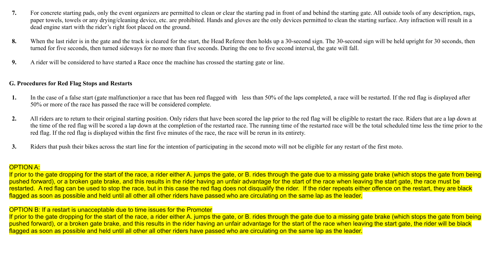- **7.** For concrete starting pads, only the event organizers are permitted to clean or clear the starting pad in front of and behind the starting gate. All outside tools of any description, rags, paper towels, towels or any drying/cleaning device, etc. are prohibited. Hands and gloves are the only devices permitted to clean the starting surface. Any infraction will result in a dead engine start with the rider's right foot placed on the ground.
- 8. When the last rider is in the gate and the track is cleared for the start, the Head Referee then holds up a 30-second sign. The 30-second sign will be held upright for 30 seconds, then turned for five seconds, then turned sideways for no more than five seconds. During the one to five second interval, the gate will fall.
- **9.** A rider will be considered to have started a Race once the machine has crossed the starting gate or line.

#### **G. Procedures for Red Flag Stops and Restarts**

- 1. In the case of a false start (gate malfunction) or a race that has been red flagged with less than 50% of the laps completed, a race will be restarted. If the red flag is displayed after 50% or more of the race has passed the race will be considered complete.
- 2. All riders are to return to their original starting position. Only riders that have been scored the lap prior to the red flag will be eligible to restart the race. Riders that are a lap down at the time of the red flag will be scored a lap down at the completion of the restarted race. The running time of the restarted race will be the total scheduled time less the time prior to the red flag. If the red flag is displayed within the first five minutes of the race, the race will be rerun in its entirety.
- **3.** Riders that push their bikes across the start line for the intention of participating in the second moto will not be eligible for any restart of the first moto.

#### OPTION A:

If prior to the gate dropping for the start of the race, a rider either A. jumps the gate, or B. rides through the gate due to a missing gate brake (which stops the gate from being pushed forward), or a broken gate brake, and this results in the rider having an unfair advantage for the start of the race when leaving the start gate, the race must be restarted. A red flag can be used to stop the race, but in this case the red flag does not disqualify the rider. If the rider repeats either offence on the restart, they are black flagged as soon as possible and held until all other all other riders have passed who are circulating on the same lap as the leader.

OPTION B: If a restart is unacceptable due to time issues for the Promoter

If prior to the gate dropping for the start of the race, a rider either A. jumps the gate, or B. rides through the gate due to a missing gate brake (which stops the gate from being pushed forward), or a broken gate brake, and this results in the rider having an unfair advantage for the start of the race when leaving the start gate, the rider will be black flagged as soon as possible and held until all other all other riders have passed who are circulating on the same lap as the leader.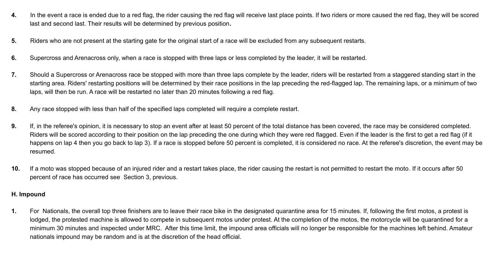- **4.** In the event a race is ended due to a red flag, the rider causing the red flag will receive last place points. If two riders or more caused the red flag, they will be scored last and second last. Their results will be determined by previous position**.**
- **5.** Riders who are not present at the starting gate for the original start of a race will be excluded from any subsequent restarts.
- **6.** Supercross and Arenacross only, when a race is stopped with three laps or less completed by the leader, it will be restarted.
- **7.** Should a Supercross or Arenacross race be stopped with more than three laps complete by the leader, riders will be restarted from a staggered standing start in the starting area. Riders' restarting positions will be determined by their race positions in the lap preceding the red-flagged lap. The remaining laps, or a minimum of two laps, will then be run. A race will be restarted no later than 20 minutes following a red flag.
- **8.** Any race stopped with less than half of the specified laps completed will require a complete restart.
- **9.** If, in the referee's opinion, it is necessary to stop an event after at least 50 percent of the total distance has been covered, the race may be considered completed. Riders will be scored according to their position on the lap preceding the one during which they were red flagged. Even if the leader is the first to get a red flag (if it happens on lap 4 then you go back to lap 3). If a race is stopped before 50 percent is completed, it is considered no race. At the referee's discretion, the event may be resumed.
- **10.** If a moto was stopped because of an injured rider and a restart takes place, the rider causing the restart is not permitted to restart the moto. If it occurs after 50 percent of race has occurred see Section 3, previous.

#### **H. Impound**

**1.** For Nationals, the overall top three finishers are to leave their race bike in the designated quarantine area for 15 minutes. If, following the first motos, a protest is lodged, the protested machine is allowed to compete in subsequent motos under protest. At the completion of the motos, the motorcycle will be quarantined for a minimum 30 minutes and inspected under MRC. After this time limit, the impound area officials will no longer be responsible for the machines left behind. Amateur nationals impound may be random and is at the discretion of the head official.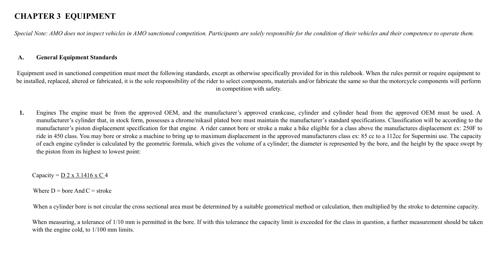## **CHAPTER 3 EQUIPMENT**

*Special Note: AMO does not inspect vehicles in AMO sanctioned competition. Participants are solely responsible for the condition of their vehicles and their competence to operate them.*

#### **A. General Equipment Standards**

Equipment used in sanctioned competition must meet the following standards, except as otherwise specifically provided for in this rulebook. When the rules permit or require equipment to be installed, replaced, altered or fabricated, it is the sole responsibility of the rider to select components, materials and/or fabricate the same so that the motorcycle components will perform in competition with safety.

**1.** Engines The engine must be from the approved OEM, and the manufacturer's approved crankcase, cylinder and cylinder head from the approved OEM must be used. A manufacturer's cylinder that, in stock form, possesses a chrome/nikasil plated bore must maintain the manufacturer's standard specifications. Classification will be according to the manufacturer's piston displacement specification for that engine. A rider cannot bore or stroke a make a bike eligible for a class above the manufactures displacement ex: 250F to ride in 450 class. You may bore or stroke a machine to bring up to maximum displacement in the approved manufacturers class ex: 85 cc to a 112cc for Supermini use. The capacity of each engine cylinder is calculated by the geometric formula, which gives the volume of a cylinder; the diameter is represented by the bore, and the height by the space swept by the piston from its highest to lowest point:

Capacity =  $D 2 x 3.1416 x C 4$ 

Where  $D =$  hore And  $C =$  stroke

When a cylinder bore is not circular the cross sectional area must be determined by a suitable geometrical method or calculation, then multiplied by the stroke to determine capacity.

When measuring, a tolerance of 1/10 mm is permitted in the bore. If with this tolerance the capacity limit is exceeded for the class in question, a further measurement should be taken with the engine cold, to  $1/100$  mm limits.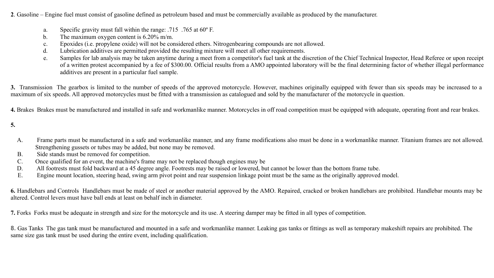**2**. Gasoline – Engine fuel must consist of gasoline defined as petroleum based and must be commercially available as produced by the manufacturer.

- a. Specific gravity must fall within the range: .715 .765 at 60º F.
- b. The maximum oxygen content is 6.20% m/m.
- c. Epoxides (i.e. propylene oxide) will not be considered ethers. Nitrogen bearing compounds are not allowed.
- d. Lubrication additives are permitted provided the resulting mixture will meet all other requirements.
- e. Samples for lab analysis may be taken anytime during a meet from a competitor's fuel tank at the discretion of the Chief Technical Inspector, Head Referee or upon receipt of a written protest accompanied by a fee of \$300.00. Official results from a AMO appointed laboratory will be the final determining factor of whether illegal performance additives are present in a particular fuel sample.

**3.** Transmission The gearbox is limited to the number of speeds of the approved motorcycle. However, machines originally equipped with fewer than six speeds may be increased to a maximum of six speeds. All approved motorcycles must be fitted with a transmission as catalogued and sold by the manufacturer of the motorcycle in question.

**4.** Brakes Brakes must be manufactured and installed in safe and workmanlike manner. Motorcycles in off road competition must be equipped with adequate, operating front and rear brakes.

**5.**

- A. Frame parts must be manufactured in a safe and workmanlike manner, and any frame modifications also must be done in a workmanlike manner. Titanium frames are not allowed. Strengthening gussets or tubes may be added, but none may be removed.
- B. Side stands must be removed for competition.
- C. Once qualified for an event, the machine's frame may not be replaced though engines may be
- D. All footrests must fold backward at a 45 degree angle. Footrests may be raised or lowered, but cannot be lower than the bottom frame tube.
- E. Engine mount location, steering head, swing arm pivot point and rear suspension linkage point must be the same as the originally approved model.

**6.** Handlebars and Controls Handlebars must be made of steel or another material approved by the AMO. Repaired, cracked or broken handlebars are prohibited. Handlebar mounts may be altered. Control levers must have ball ends at least on behalf inch in diameter.

**7.** Forks Forks must be adequate in strength and size for the motorcycle and its use. A steering damper may be fitted in all types of competition.

**8.** Gas Tanks The gas tank must be manufactured and mounted in a safe and workmanlike manner. Leaking gas tanks or fittings as well as temporary makeshift repairs are prohibited. The same size gas tank must be used during the entire event, including qualification.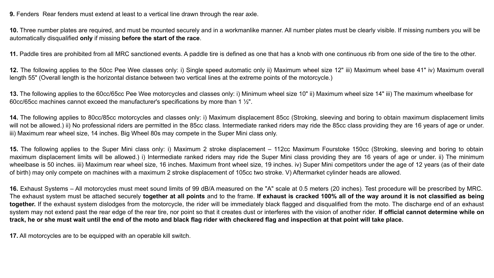**9.** Fenders Rear fenders must extend at least to a vertical line drawn through the rear axle.

**10.** Three number plates are required, and must be mounted securely and in a workmanlike manner. All number plates must be clearly visible. If missing numbers you will be automatically disqualified **only** if missing **before the start of the race**.

**11.** Paddle tires are prohibited from all MRC sanctioned events. A paddle tire is defined as one that has a knob with one continuous rib from one side of the tire to the other.

**12.** The following applies to the 50cc Pee Wee classes only: i) Single speed automatic only ii) Maximum wheel size 12" iii) Maximum wheel base 41" iv) Maximum overall length 55" (Overall length is the horizontal distance between two vertical lines at the extreme points of the motorcycle.)

13. The following applies to the 60cc/65cc Pee Wee motorcycles and classes only: i) Minimum wheel size 10" ii) Maximum wheel size 14" iii) The maximum wheelbase for 60cc/65cc machines cannot exceed the manufacturer's specifications by more than 1 ½".

**14.** The following applies to 80cc/85cc motorcycles and classes only: i) Maximum displacement 85cc (Stroking, sleeving and boring to obtain maximum displacement limits will not be allowed.) ii) No professional riders are permitted in the 85cc class. Intermediate ranked riders may ride the 85cc class providing they are 16 years of age or under. iii) Maximum rear wheel size, 14 inches. Big Wheel 80s may compete in the Super Mini class only.

**15.** The following applies to the Super Mini class only: i) Maximum 2 stroke displacement – 112cc Maximum Fourstoke 150cc (Stroking, sleeving and boring to obtain maximum displacement limits will be allowed.) i) Intermediate ranked riders may ride the Super Mini class providing they are 16 years of age or under. ii) The minimum wheelbase is 50 inches. iii) Maximum rear wheel size, 16 inches. Maximum front wheel size, 19 inches. iv) Super Mini competitors under the age of 12 years (as of their date of birth) may only compete on machines with a maximum 2 stroke displacement of 105cc two stroke. V) Aftermarket cylinder heads are allowed.

**16.** Exhaust Systems – All motorcycles must meet sound limits of 99 dB/A measured on the "A" scale at 0.5 meters (20 inches). Test procedure will be prescribed by MRC. The exhaust system must be attached securely **together at all points** and to the frame. **If exhaust is cracked 100% all of the way around it is not classified as being together.** If the exhaust system dislodges from the motorcycle, the rider will be immediately black flagged and disqualified from the moto. The discharge end of an exhaust system may not extend past the rear edge of the rear tire, nor point so that it creates dust or interferes with the vision of another rider. If official cannot determine while on **track, he or she must wait until the end of the moto and black flag rider with checkered flag and inspection at that point will take place.**

**17.** All motorcycles are to be equipped with an operable kill switch.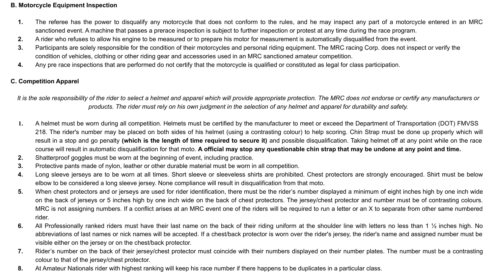## **B. Motorcycle Equipment Inspection**

- **1.** The referee has the power to disqualify any motorcycle that does not conform to the rules, and he may inspect any part of a motorcycle entered in an MRC sanctioned event. A machine that passes a prerace inspection is subject to further inspection or protest at any time during the race program.
- **2.** A rider who refuses to allow his engine to be measured or to prepare his motor for measurement is automatically disqualified from the event.
- **3.** Participants are solely responsible for the condition of their motorcycles and personal riding equipment. The MRC racing Corp. does not inspect or verify the condition of vehicles, clothing or other riding gear and accessories used in an MRC sanctioned amateur competition.
- **4.** Any pre race inspections that are performed do not certify that the motorcycle is qualified or constituted as legal for class participation.

## **C. Competition Apparel**

*It is the sole responsibility of the rider to select a helmet and apparel which will provide appropriate protection. The MRC does not endorse or certify any manufacturers or products. The rider must rely on his own judgment in the selection of any helmet and apparel for durability and safety.*

- **1.** A helmet must be worn during all competition. Helmets must be certified by the manufacturer to meet or exceed the Department of Transportation (DOT) FMVSS 218. The rider's number may be placed on both sides of his helmet (using a contrasting colour) to help scoring. Chin Strap must be done up properly which will result in a stop and go penalty **(which is the length of time required to secure it)** and possible disqualification. Taking helmet off at any point while on the race course will result in automatic disqualification for that moto. **A official may stop any questionable chin strap that may be undone at any point and time.**
- **2.** Shatterproof goggles must be worn at the beginning of event, including practice.
- **3.** Protective pants made of nylon, leather or other durable material must be worn in all competition.
- **4.** Long sleeve jerseys are to be worn at all times. Short sleeve or sleeveless shirts are prohibited. Chest protectors are strongly encouraged. Shirt must be below elbow to be considered a long sleeve jersey. None compliance will result in disqualification from that moto.
- **5.** When chest protectors and or jerseys are used for rider identification, there must be the rider's number displayed a minimum of eight inches high by one inch wide on the back of jerseys or 5 inches high by one inch wide on the back of chest protectors. The jersey/chest protector and number must be of contrasting colours. MRC is not assigning numbers. If a conflict arises at an MRC event one of the riders will be required to run a letter or an X to separate from other same numbered rider.
- **6.** All Professionally ranked riders must have their last name on the back of their riding uniform at the shoulder line with letters no less than 1 ½ inches high. No abbreviations of last names or nick names will be accepted. If a chest/back protector is worn over the rider's jersey, the rider's name and assigned number must be visible either on the jersey or on the chest/back protector.
- **7.** Rider's number on the back of their jersey/chest protector must coincide with their numbers displayed on their number plates. The number must be a contrasting colour to that of the jersey/chest protector.
- **8.** At Amateur Nationals rider with highest ranking will keep his race number if there happens to be duplicates in a particular class.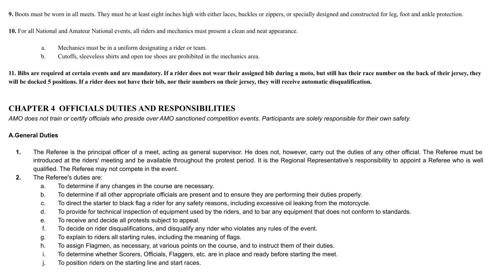**9.** Boots must be worn in all meets. They must be at least eight inches high with either laces, buckles or zippers, or specially designed and constructed for leg, foot and ankle protection.

**10.** For all National and Amateur National events, all riders and mechanics must present a clean and neat appearance.

- a. Mechanics must be in a uniform designating a rider or team.
- b. Cut offs, sleeveless shirts and open toe shoes are prohibited in the mechanics area.

**11. Bibs are required at certain events and are mandatory. If a rider does not wear their assigned bib during a moto, but still has their race number on the back of their jersey, they will be docked 5 positions. If a rider does not have their bib, nor their numbers on their jersey, they will receive automatic disqualification.**

## **CHAPTER 4 OFFICIALS DUTIES AND RESPONSIBILITIES**

*AMO does not train or certify officials who preside over AMO sanctioned competition events. Participants are solely responsible for their own safety.*

## **A.General Duties**

- **1.** The Referee is the principal officer of a meet, acting as general supervisor. He does not, however, carry out the duties of any other official. The Referee must be introduced at the riders' meeting and be available throughout the protest period. It is the Regional Representative's responsibility to appoint a Referee who is well qualified. The Referee may not compete in the event.
- **2.** The Referee's duties are:
	- a. To determine if any changes in the course are necessary.
	- b. To determine if all other appropriate officials are present and to ensure they are performing their duties properly.
	- c. To direct the starter to black flag a rider for any safety reasons, including excessive oil leaking from the motorcycle.
	- d. To provide for technical inspection of equipment used by the riders, and to bar any equipment that does not conform to standards.
	- e. To receive and decide all protests subject to appeal.
	- f. To decide on rider disqualifications, and disqualify any rider who violates any rules of the event.
	- g. To explain to riders all starting rules, including the meaning of flags.
	- h. To assign Flagmen, as necessary, at various points on the course, and to instruct them of their duties.
	- i. To determine whether Scorers, Officials, Flaggers, etc. are in place and ready before starting the meet.
	- j. To position riders on the starting line and start races.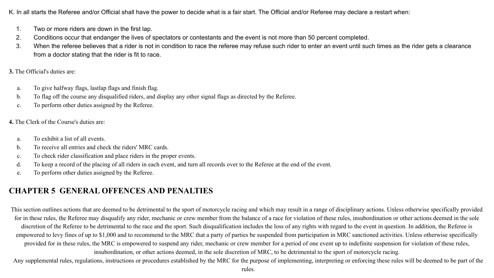K. In all starts the Referee and/or Official shall have the power to decide what is a fair start. The Official and/or Referee may declare a restart when:

- 1. Two or more riders are down in the first lap.
- 2. Conditions occur that endanger the lives of spectators or contestants and the event is not more than 50 percent completed.
- 3. When the referee believes that a rider is not in condition to race the referee may refuse such rider to enter an event until such times as the rider gets a clearance from a doctor stating that the rider is fit to race.

**3.** The Official's duties are:

- a. To give halfway flags, lastlap flags and finish flag.
- b. To flag off the course any disqualified riders, and display any other signal flags as directed by the Referee.
- c. To perform other duties assigned by the Referee.

**4.** The Clerk of the Course's duties are:

- a. To exhibit a list of all events.
- b. To receive all entries and check the riders' MRC cards.
- c. To check rider classification and place riders in the proper events.
- d. To keep a record of the placing of all riders in each event, and turn all records over to the Referee at the end of the event.
- e. To perform other duties assigned by the Referee.

# **CHAPTER 5 GENERAL OFFENCES AND PENALTIES**

This section outlines actions that are deemed to be detrimental to the sport of motorcycle racing and which may result in a range of disciplinary actions. Unless otherwise specifically provided for in these rules, the Referee may disqualify any rider, mechanic or crew member from the balance of a race for violation of these rules, insubordination or other actions deemed in the sole discretion of the Referee to be detrimental to the race and the sport. Such disqualification includes the loss of any rights with regard to the event in question. In addition, the Referee is empowered to levy fines of up to \$1,000 and to recommend to the MRC that a party of parties be suspended from participation in MRC sanctioned activities. Unless otherwise specifically provided for in these rules, the MRC is empowered to suspend any rider, mechanic or crew member for a period of one event up to indefinite suspension for violation of these rules, insubordination, or other actions deemed, in the sole discretion of MRC, to be detrimental to the sport of motorcycle racing.

Any supplemental rules, regulations, instructions or procedures established by the MRC for the purpose of implementing, interpreting or enforcing these rules will be deemed to be part of the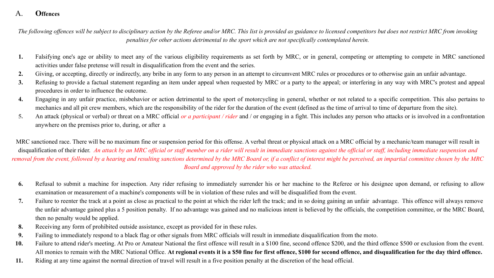## A. **Offences**

*The following offences will be subject to disciplinary action by the Referee and/or MRC. This list is provided as guidance to licensed competitors but does not restrict MRC from invoking penalties for other actions detrimental to the sport which are not specifically contemplated herein.*

- **1.** Falsifying one's age or ability to meet any of the various eligibility requirements as set forth by MRC, or in general, competing or attempting to compete in MRC sanctioned activities under false pretense will result in disqualification from the event and the series.
- **2.** Giving, or accepting, directly or indirectly, any bribe in any form to any person in an attempt to circumvent MRC rules or procedures or to otherwise gain an unfair advantage.
- **3.** Refusing to provide a factual statement regarding an item under appeal when requested by MRC or a party to the appeal; or interfering in any way with MRC's protest and appeal procedures in order to influence the outcome.
- **4.** Engaging in any unfair practice, misbehavior or action detrimental to the sport of motorcycling in general, whether or not related to a specific competition. This also pertains to mechanics and all pit crew members, which are the responsibility of the rider for the duration of the event (defined as the time of arrival to time of departure from the site).
- **5.** An attack (physical or verbal) or threat on a MRC official *or a participant / rider* and / or engaging in a fight. This includes any person who attacks or is involved in a confrontation anywhere on the premises prior to, during, or after a

MRC sanctioned race. There will be no maximum fine or suspension period for this offense. A verbal threat or physical attack on a MRC official by a mechanic/team manager will result in disqualification of their rider. An attack by an MRC official or staff member on a rider will result in immediate sanctions against the official or staff, including immediate suspension and *removal from the event, followed by a hearing and resulting sanctions determined by the MRC Board or, if a conflict of interest might be perceived, an impartial committee chosen by the MRC Board and approved by the rider who was attacked.*

- **6.** Refusal to submit a machine for inspection. Any rider refusing to immediately surrender his or her machine to the Referee or his designee upon demand, or refusing to allow examination or measurement of a machine's components will be in violation of these rules and will be disqualified from the event.
- **7.** Failure to re enter the track at a point as close as practical to the point at which the rider left the track; and in so doing gaining an unfair advantage. This offence will always remove the unfair advantage gained plus a 5 position penalty. If no advantage was gained and no malicious intent is believed by the officials, the competition committee, or the MRC Board, then no penalty would be applied.
- **8.** Receiving any form of prohibited outside assistance, except as provided for in these rules.
- **9.** Failing to immediately respond to a black flag or other signals from MRC officials will result in immediate disqualification from the moto.
- **10.** Failure to attend rider's meeting. At Pro or Amateur National the first offence will result in a \$100 fine, second offence \$200, and the third offence \$500 or exclusion from the event. All monies to remain with the MRC National Office. **At regional events it is a \$50 fine for first offence, \$100 for second offence, and disqualification for the day third offence.**
- **11.** Riding at any time against the normal direction of travel will result in a five position penalty at the discretion of the head official.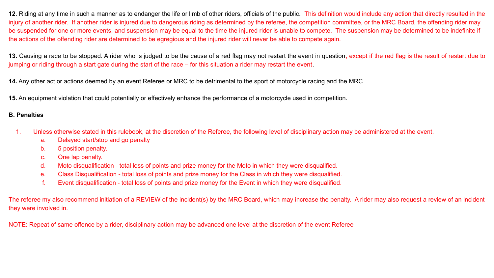**12**. Riding at any time in such a manner as to endanger the life or limb of other riders, officials of the public. This definition would include any action that directly resulted in the injury of another rider. If another rider is injured due to dangerous riding as determined by the referee, the competition committee, or the MRC Board, the offending rider may be suspended for one or more events, and suspension may be equal to the time the injured rider is unable to compete. The suspension may be determined to be indefinite if the actions of the offending rider are determined to be egregious and the injured rider will never be able to compete again.

**13.** Causing a race to be stopped. A rider who is judged to be the cause of a red flag may not restart the event in question, except if the red flag is the result of restart due to jumping or riding through a start gate during the start of the race – for this situation a rider may restart the event.

**14.** Any other act or actions deemed by an event Referee or MRC to be detrimental to the sport of motorcycle racing and the MRC.

**15.** An equipment violation that could potentially or effectively enhance the performance of a motorcycle used in competition.

### **B. Penalties**

- 1. Unless otherwise stated in this rulebook, at the discretion of the Referee, the following level of disciplinary action may be administered at the event.
	- a. Delayed start/stop and go penalty
	- b. 5 position penalty.
	- c. One lap penalty.
	- d. Moto disqualification total loss of points and prize money for the Moto in which they were disqualified.
	- e. Class Disqualification total loss of points and prize money for the Class in which they were disqualified.
	- f. Event disqualification total loss of points and prize money for the Event in which they were disqualified.

The referee my also recommend initiation of a REVIEW of the incident(s) by the MRC Board, which may increase the penalty. A rider may also request a review of an incident they were involved in.

NOTE: Repeat of same offence by a rider, disciplinary action may be advanced one level at the discretion of the event Referee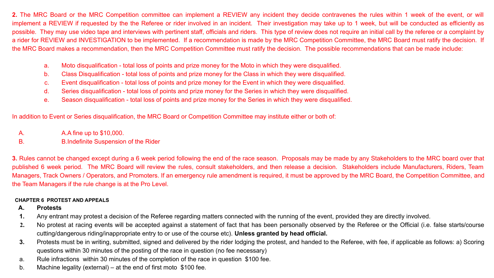**2.** The MRC Board or the MRC Competition committee can implement a REVIEW any incident they decide contravenes the rules within 1 week of the event, or will implement a REVIEW if requested by the the Referee or rider involved in an incident. Their investigation may take up to 1 week, but will be conducted as efficiently as possible. They may use video tape and interviews with pertinent staff, officials and riders. This type of review does not require an initial call by the referee or a complaint by a rider for REVIEW and INVESTIGATION to be implemented. If a recommendation is made by the MRC Competition Committee, the MRC Board must ratify the decision. If the MRC Board makes a recommendation, then the MRC Competition Committee must ratify the decision. The possible recommendations that can be made include:

- a. Moto disqualification total loss of points and prize money for the Moto in which they were disqualified.
- b. Class Disqualification total loss of points and prize money for the Class in which they were disqualified.
- c. Event disqualification total loss of points and prize money for the Event in which they were disqualified.
- d. Series disqualification total loss of points and prize money for the Series in which they were disqualified.
- e. Season disqualification total loss of points and prize money for the Series in which they were disqualified.

In addition to Event or Series disqualification, the MRC Board or Competition Committee may institute either or both of:

- A. A.A fine up to \$10,000.
- B. B.Indefinite Suspension of the Rider

**3.** Rules cannot be changed except during a 6 week period following the end of the race season. Proposals may be made by any Stakeholders to the MRC board over that published 6 week period. The MRC Board will review the rules, consult stakeholders, and then release a decision. Stakeholders include Manufacturers, Riders, Team Managers, Track Owners / Operators, and Promoters. If an emergency rule amendment is required, it must be approved by the MRC Board, the Competition Committee, and the Team Managers if the rule change is at the Pro Level.

#### **CHAPTER 6 PROTEST AND APPEALS**

#### **A. Protests**

- **1.** Any entrant may protest a decision of the Referee regarding matters connected with the running of the event, provided they are directly involved.
- **2.** No protest at racing events will be accepted against a statement of fact that has been personally observed by the Referee or the Official (i.e. false starts/course cutting/dangerous riding/inappropriate entry to or use of the course etc). **Unless granted by head official.**
- **3.** Protests must be in writing, submitted, signed and delivered by the rider lodging the protest, and handed to the Referee, with fee, if applicable as follows: a) Scoring questions within 30 minutes of the posting of the race in question (no fee necessary)
- a. Rule infractions within 30 minutes of the completion of the race in question \$100 fee.
- b. Machine legality (external) at the end of first moto \$100 fee.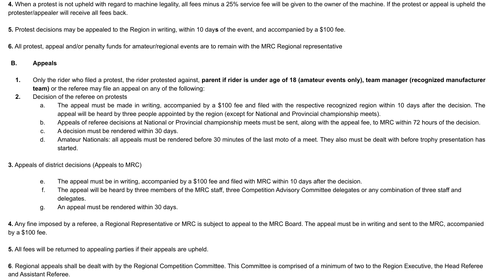**4.** When a protest is not upheld with regard to machine legality, all fees minus a 25% service fee will be given to the owner of the machine. If the protest or appeal is upheld the protester/appealer will receive all fees back.

**5.** Protest decisions may be appealed to the Region in writing, within 10 day**s** of the event, and accompanied by a \$100 fee.

**6.** All protest, appeal and/or penalty funds for amateur/regional events are to remain with the MRC Regional representative

## **B. Appeals**

- **1.** Only the rider who filed a protest, the rider protested against, **parent if rider is under age of 18 (amateur events only), team manager (recognized manufacturer team)** or the referee may file an appeal on any of the following:
- **2.** Decision of the referee on protests
	- a. The appeal must be made in writing, accompanied by a \$100 fee and filed with the respective recognized region within 10 days after the decision. The appeal will be heard by three people appointed by the region (except for National and Provincial championship meets).
	- b. Appeals of referee decisions at National or Provincial championship meets must be sent, along with the appeal fee, to MRC within 72 hours of the decision.
	- c. A decision must be rendered within 30 days.
	- d. Amateur Nationals: all appeals must be rendered before 30 minutes of the last moto of a meet. They also must be dealt with before trophy presentation has started.

**3.** Appeals of district decisions (Appeals to MRC)

- e. The appeal must be in writing, accompanied by a \$100 fee and filed with MRC within 10 days after the decision.
- f. The appeal will be heard by three members of the MRC staff, three Competition Advisory Committee delegates or any combination of three staff and delegates.
- g. An appeal must be rendered within 30 days.

**4.** Any fine imposed by a referee, a Regional Representative or MRC is subject to appeal to the MRC Board. The appeal must be in writing and sent to the MRC, accompanied by a \$100 fee.

**5.** All fees will be returned to appealing parties if their appeals are upheld.

**6**. Regional appeals shall be dealt with by the Regional Competition Committee. This Committee is comprised of a minimum of two to the Region Executive, the Head Referee and Assistant Referee.